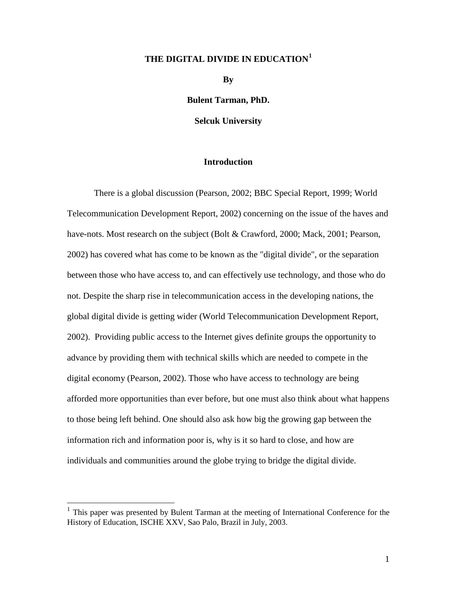# **THE DIGITAL DIVIDE IN EDUCATION[1](#page-0-0)**

**By** 

**Bulent Tarman, PhD.**

**Selcuk University**

# **Introduction**

There is a global discussion (Pearson, 2002; BBC Special Report, 1999; World Telecommunication Development Report, 2002) concerning on the issue of the haves and have-nots. Most research on the subject (Bolt & Crawford, 2000; Mack, 2001; Pearson, 2002) has covered what has come to be known as the "digital divide", or the separation between those who have access to, and can effectively use technology, and those who do not. Despite the sharp rise in telecommunication access in the developing nations, the global digital divide is getting wider (World Telecommunication Development Report, 2002). Providing public access to the Internet gives definite groups the opportunity to advance by providing them with technical skills which are needed to compete in the digital economy (Pearson, 2002). Those who have access to technology are being afforded more opportunities than ever before, but one must also think about what happens to those being left behind. One should also ask how big the growing gap between the information rich and information poor is, why is it so hard to close, and how are individuals and communities around the globe trying to bridge the digital divide.

<span id="page-0-0"></span><sup>1</sup> This paper was presented by Bulent Tarman at the meeting of International Conference for the History of Education, ISCHE XXV, Sao Palo, Brazil in July, 2003.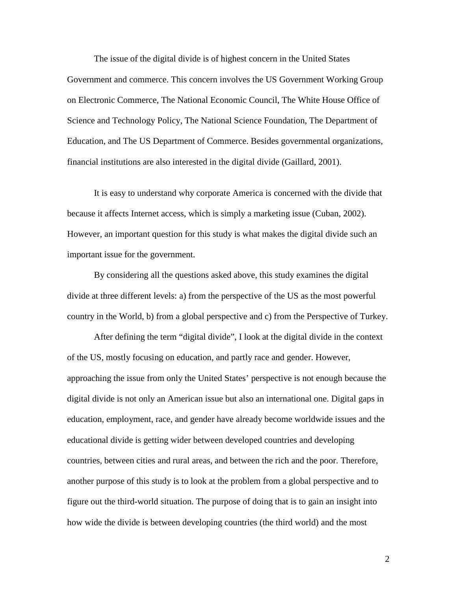The issue of the digital divide is of highest concern in the United States Government and commerce. This concern involves the US Government Working Group on Electronic Commerce, The National Economic Council, The White House Office of Science and Technology Policy, The National Science Foundation, The Department of Education, and The US Department of Commerce. Besides governmental organizations, financial institutions are also interested in the digital divide (Gaillard, 2001).

It is easy to understand why corporate America is concerned with the divide that because it affects Internet access, which is simply a marketing issue (Cuban, 2002). However, an important question for this study is what makes the digital divide such an important issue for the government.

By considering all the questions asked above, this study examines the digital divide at three different levels: a) from the perspective of the US as the most powerful country in the World, b) from a global perspective and c) from the Perspective of Turkey.

After defining the term "digital divide", I look at the digital divide in the context of the US, mostly focusing on education, and partly race and gender. However, approaching the issue from only the United States' perspective is not enough because the digital divide is not only an American issue but also an international one. Digital gaps in education, employment, race, and gender have already become worldwide issues and the educational divide is getting wider between developed countries and developing countries, between cities and rural areas, and between the rich and the poor. Therefore, another purpose of this study is to look at the problem from a global perspective and to figure out the third-world situation. The purpose of doing that is to gain an insight into how wide the divide is between developing countries (the third world) and the most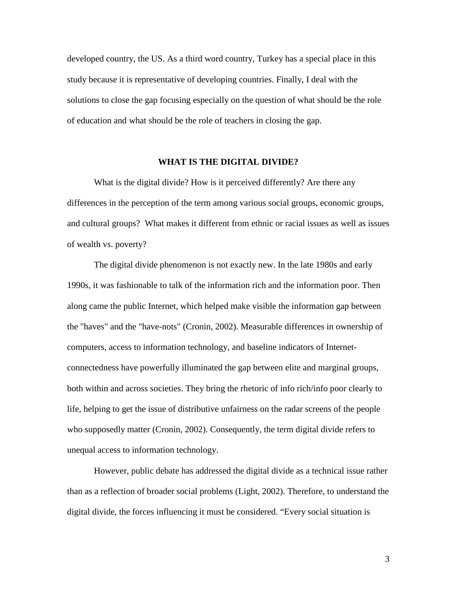developed country, the US. As a third word country, Turkey has a special place in this study because it is representative of developing countries. Finally, I deal with the solutions to close the gap focusing especially on the question of what should be the role of education and what should be the role of teachers in closing the gap.

#### **WHAT IS THE DIGITAL DIVIDE?**

What is the digital divide? How is it perceived differently? Are there any differences in the perception of the term among various social groups, economic groups, and cultural groups? What makes it different from ethnic or racial issues as well as issues of wealth vs. poverty?

The digital divide phenomenon is not exactly new. In the late 1980s and early 1990s, it was fashionable to talk of the information rich and the information poor. Then along came the public Internet, which helped make visible the information gap between the "haves" and the "have-nots" (Cronin, 2002). Measurable differences in ownership of computers, access to information technology, and baseline indicators of Internetconnectedness have powerfully illuminated the gap between elite and marginal groups, both within and across societies. They bring the rhetoric of info rich/info poor clearly to life, helping to get the issue of distributive unfairness on the radar screens of the people who supposedly matter (Cronin, 2002). Consequently, the term digital divide refers to unequal access to information technology.

However, public debate has addressed the digital divide as a technical issue rather than as a reflection of broader social problems (Light, 2002). Therefore, to understand the digital divide, the forces influencing it must be considered. "Every social situation is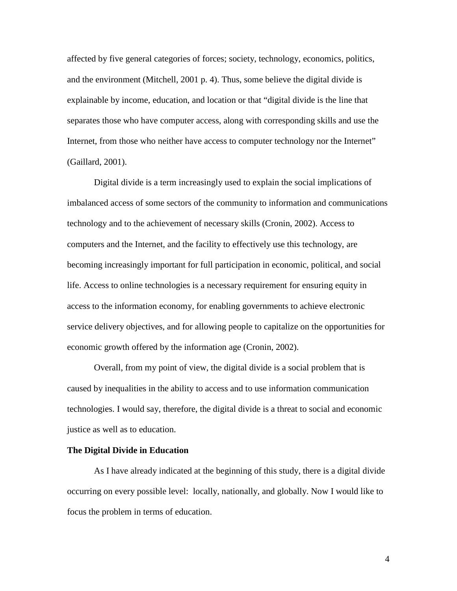affected by five general categories of forces; society, technology, economics, politics, and the environment (Mitchell, 2001 p. 4). Thus, some believe the digital divide is explainable by income, education, and location or that "digital divide is the line that separates those who have computer access, along with corresponding skills and use the Internet, from those who neither have access to computer technology nor the Internet" (Gaillard, 2001).

Digital divide is a term increasingly used to explain the social implications of imbalanced access of some sectors of the community to information and communications technology and to the achievement of necessary skills (Cronin, 2002). Access to computers and the Internet, and the facility to effectively use this technology, are becoming increasingly important for full participation in economic, political, and social life. Access to online technologies is a necessary requirement for ensuring equity in access to the information economy, for enabling governments to achieve electronic service delivery objectives, and for allowing people to capitalize on the opportunities for economic growth offered by the information age (Cronin, 2002).

 Overall, from my point of view, the digital divide is a social problem that is caused by inequalities in the ability to access and to use information communication technologies. I would say, therefore, the digital divide is a threat to social and economic justice as well as to education.

## **The Digital Divide in Education**

As I have already indicated at the beginning of this study, there is a digital divide occurring on every possible level: locally, nationally, and globally. Now I would like to focus the problem in terms of education.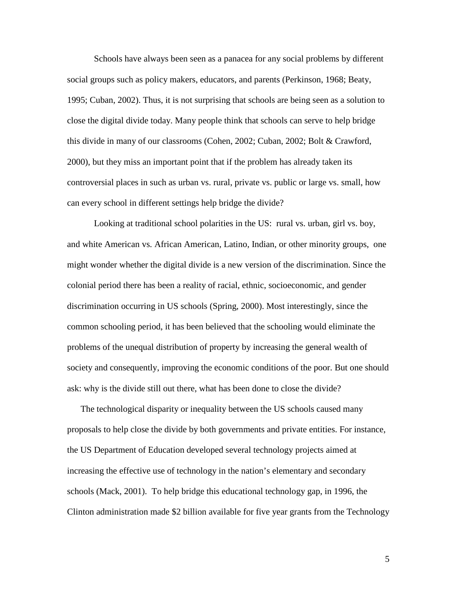Schools have always been seen as a panacea for any social problems by different social groups such as policy makers, educators, and parents (Perkinson, 1968; Beaty, 1995; Cuban, 2002). Thus, it is not surprising that schools are being seen as a solution to close the digital divide today. Many people think that schools can serve to help bridge this divide in many of our classrooms (Cohen, 2002; Cuban, 2002; Bolt & Crawford, 2000), but they miss an important point that if the problem has already taken its controversial places in such as urban vs. rural, private vs. public or large vs. small, how can every school in different settings help bridge the divide?

Looking at traditional school polarities in the US: rural vs. urban, girl vs. boy, and white American vs. African American, Latino, Indian, or other minority groups, one might wonder whether the digital divide is a new version of the discrimination. Since the colonial period there has been a reality of racial, ethnic, socioeconomic, and gender discrimination occurring in US schools (Spring, 2000). Most interestingly, since the common schooling period, it has been believed that the schooling would eliminate the problems of the unequal distribution of property by increasing the general wealth of society and consequently, improving the economic conditions of the poor. But one should ask: why is the divide still out there, what has been done to close the divide?

The technological disparity or inequality between the US schools caused many proposals to help close the divide by both governments and private entities. For instance, the US Department of Education developed several technology projects aimed at increasing the effective use of technology in the nation's elementary and secondary schools (Mack, 2001). To help bridge this educational technology gap, in 1996, the Clinton administration made \$2 billion available for five year grants from the Technology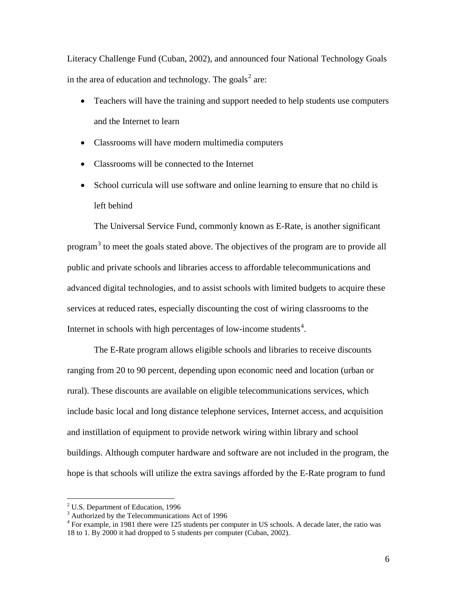Literacy Challenge Fund (Cuban, 2002), and announced four National Technology Goals in the area of education and technology. The goals<sup>[2](#page-5-0)</sup> are:

- Teachers will have the training and support needed to help students use computers and the Internet to learn
- Classrooms will have modern multimedia computers
- Classrooms will be connected to the Internet
- School curricula will use software and online learning to ensure that no child is left behind

The Universal Service Fund, commonly known as E-Rate, is another significant program<sup>[3](#page-5-1)</sup> to meet the goals stated above. The objectives of the program are to provide all public and private schools and libraries access to affordable telecommunications and advanced digital technologies, and to assist schools with limited budgets to acquire these services at reduced rates, especially discounting the cost of wiring classrooms to the Internet in schools with high percentages of low-income students<sup>[4](#page-5-2)</sup>.

The E-Rate program allows eligible schools and libraries to receive discounts ranging from 20 to 90 percent, depending upon economic need and location (urban or rural). These discounts are available on eligible telecommunications services, which include basic local and long distance telephone services, Internet access, and acquisition and instillation of equipment to provide network wiring within library and school buildings. Although computer hardware and software are not included in the program, the hope is that schools will utilize the extra savings afforded by the E-Rate program to fund

<span id="page-5-0"></span> $2$  U.S. Department of Education, 1996

 $3$  Authorized by the Telecommunications Act of 1996

<span id="page-5-2"></span><span id="page-5-1"></span><sup>&</sup>lt;sup>4</sup> For example, in 1981 there were 125 students per computer in US schools. A decade later, the ratio was 18 to 1. By 2000 it had dropped to 5 students per computer (Cuban, 2002).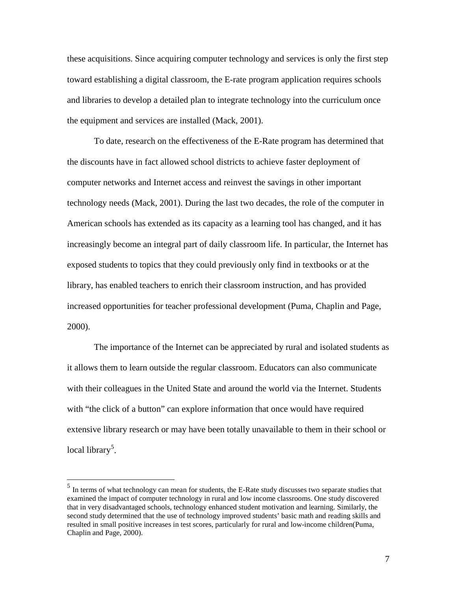these acquisitions. Since acquiring computer technology and services is only the first step toward establishing a digital classroom, the E-rate program application requires schools and libraries to develop a detailed plan to integrate technology into the curriculum once the equipment and services are installed (Mack, 2001).

To date, research on the effectiveness of the E-Rate program has determined that the discounts have in fact allowed school districts to achieve faster deployment of computer networks and Internet access and reinvest the savings in other important technology needs (Mack, 2001). During the last two decades, the role of the computer in American schools has extended as its capacity as a learning tool has changed, and it has increasingly become an integral part of daily classroom life. In particular, the Internet has exposed students to topics that they could previously only find in textbooks or at the library, has enabled teachers to enrich their classroom instruction, and has provided increased opportunities for teacher professional development (Puma, Chaplin and Page, 2000).

The importance of the Internet can be appreciated by rural and isolated students as it allows them to learn outside the regular classroom. Educators can also communicate with their colleagues in the United State and around the world via the Internet. Students with "the click of a button" can explore information that once would have required extensive library research or may have been totally unavailable to them in their school or local library<sup>[5](#page-6-0)</sup>.

<span id="page-6-0"></span><sup>&</sup>lt;sup>5</sup> In terms of what technology can mean for students, the E-Rate study discusses two separate studies that examined the impact of computer technology in rural and low income classrooms. One study discovered that in very disadvantaged schools, technology enhanced student motivation and learning. Similarly, the second study determined that the use of technology improved students' basic math and reading skills and resulted in small positive increases in test scores, particularly for rural and low-income children(Puma, Chaplin and Page, 2000).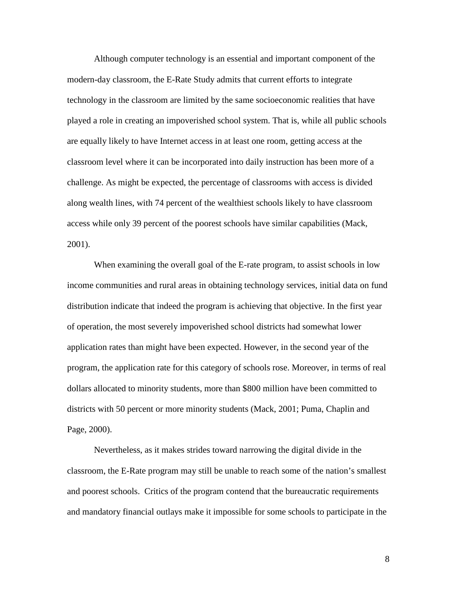Although computer technology is an essential and important component of the modern-day classroom, the E-Rate Study admits that current efforts to integrate technology in the classroom are limited by the same socioeconomic realities that have played a role in creating an impoverished school system. That is, while all public schools are equally likely to have Internet access in at least one room, getting access at the classroom level where it can be incorporated into daily instruction has been more of a challenge. As might be expected, the percentage of classrooms with access is divided along wealth lines, with 74 percent of the wealthiest schools likely to have classroom access while only 39 percent of the poorest schools have similar capabilities (Mack, 2001).

When examining the overall goal of the E-rate program, to assist schools in low income communities and rural areas in obtaining technology services, initial data on fund distribution indicate that indeed the program is achieving that objective. In the first year of operation, the most severely impoverished school districts had somewhat lower application rates than might have been expected. However, in the second year of the program, the application rate for this category of schools rose. Moreover, in terms of real dollars allocated to minority students, more than \$800 million have been committed to districts with 50 percent or more minority students (Mack, 2001; Puma, Chaplin and Page, 2000).

 Nevertheless, as it makes strides toward narrowing the digital divide in the classroom, the E-Rate program may still be unable to reach some of the nation's smallest and poorest schools. Critics of the program contend that the bureaucratic requirements and mandatory financial outlays make it impossible for some schools to participate in the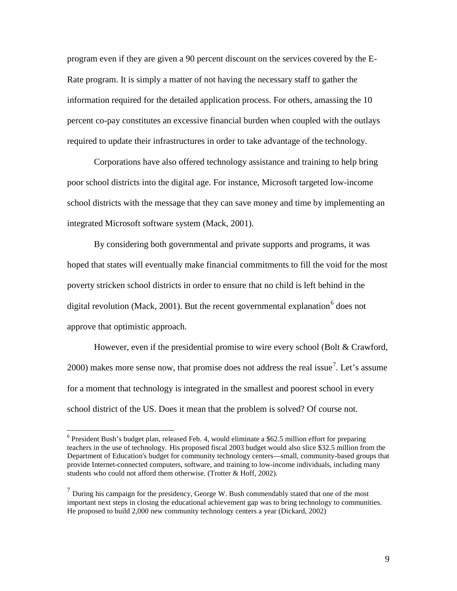program even if they are given a 90 percent discount on the services covered by the E-Rate program. It is simply a matter of not having the necessary staff to gather the information required for the detailed application process. For others, amassing the 10 percent co-pay constitutes an excessive financial burden when coupled with the outlays required to update their infrastructures in order to take advantage of the technology.

Corporations have also offered technology assistance and training to help bring poor school districts into the digital age. For instance, Microsoft targeted low-income school districts with the message that they can save money and time by implementing an integrated Microsoft software system (Mack, 2001).

By considering both governmental and private supports and programs, it was hoped that states will eventually make financial commitments to fill the void for the most poverty stricken school districts in order to ensure that no child is left behind in the digital revolution (Mack, 2001). But the recent governmental explanation <sup>[6](#page-8-0)</sup> does not approve that optimistic approach.

However, even if the presidential promise to wire every school (Bolt & Crawford, 2000) makes more sense now, that promise does not address the real issue<sup>[7](#page-8-1)</sup>. Let's assume for a moment that technology is integrated in the smallest and poorest school in every school district of the US. Does it mean that the problem is solved? Of course not.

<span id="page-8-0"></span> $6$  President Bush's budget plan, released Feb. 4, would eliminate a \$62.5 million effort for preparing teachers in the use of technology. His proposed fiscal 2003 budget would also slice \$32.5 million from the Department of Education's budget for community technology centers—small, community-based groups that provide Internet-connected computers, software, and training to low-income individuals, including many students who could not afford them otherwise. (Trotter & Hoff, 2002).

<span id="page-8-1"></span> $<sup>7</sup>$  During his campaign for the presidency, George W. Bush commendably stated that one of the most</sup> important next steps in closing the educational achievement gap was to bring technology to communities. He proposed to build 2,000 new community technology centers a year (Dickard, 2002)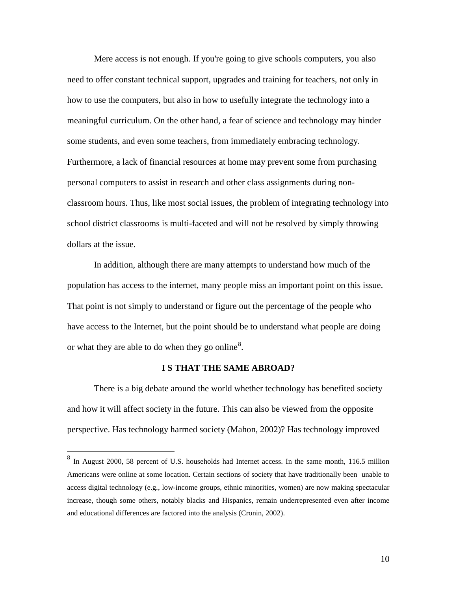Mere access is not enough. If you're going to give schools computers, you also need to offer constant technical support, upgrades and training for teachers, not only in how to use the computers, but also in how to usefully integrate the technology into a meaningful curriculum. On the other hand, a fear of science and technology may hinder some students, and even some teachers, from immediately embracing technology. Furthermore, a lack of financial resources at home may prevent some from purchasing personal computers to assist in research and other class assignments during nonclassroom hours. Thus, like most social issues, the problem of integrating technology into school district classrooms is multi-faceted and will not be resolved by simply throwing dollars at the issue.

In addition, although there are many attempts to understand how much of the population has access to the internet, many people miss an important point on this issue. That point is not simply to understand or figure out the percentage of the people who have access to the Internet, but the point should be to understand what people are doing or what they are able to do when they go online<sup>[8](#page-9-0)</sup>.

#### **I S THAT THE SAME ABROAD?**

There is a big debate around the world whether technology has benefited society and how it will affect society in the future. This can also be viewed from the opposite perspective. Has technology harmed society (Mahon, 2002)? Has technology improved

<span id="page-9-0"></span> $8\,$  In August 2000, 58 percent of U.S. households had Internet access. In the same month, 116.5 million Americans were online at some location. Certain sections of society that have traditionally been unable to access digital technology (e.g., low-income groups, ethnic minorities, women) are now making spectacular increase, though some others, notably blacks and Hispanics, remain underrepresented even after income and educational differences are factored into the analysis (Cronin, 2002).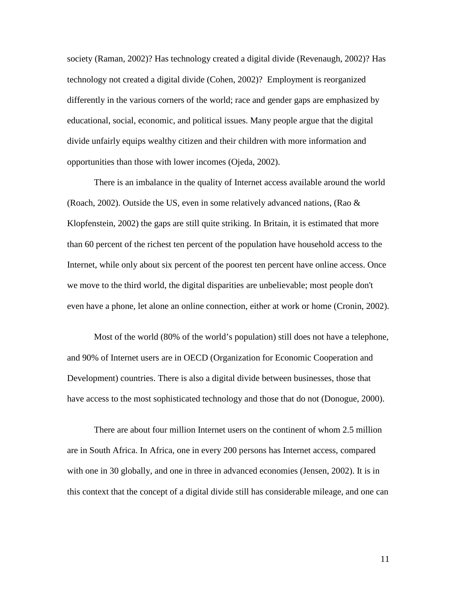society (Raman, 2002)? Has technology created a digital divide (Revenaugh, 2002)? Has technology not created a digital divide (Cohen, 2002)? Employment is reorganized differently in the various corners of the world; race and gender gaps are emphasized by educational, social, economic, and political issues. Many people argue that the digital divide unfairly equips wealthy citizen and their children with more information and opportunities than those with lower incomes (Ojeda, 2002).

There is an imbalance in the quality of Internet access available around the world (Roach, 2002). Outside the US, even in some relatively advanced nations, (Rao  $\&$ Klopfenstein, 2002) the gaps are still quite striking. In Britain, it is estimated that more than 60 percent of the richest ten percent of the population have household access to the Internet, while only about six percent of the poorest ten percent have online access. Once we move to the third world, the digital disparities are unbelievable; most people don't even have a phone, let alone an online connection, either at work or home (Cronin, 2002).

Most of the world (80% of the world's population) still does not have a telephone, and 90% of Internet users are in OECD (Organization for Economic Cooperation and Development) countries. There is also a digital divide between businesses, those that have access to the most sophisticated technology and those that do not (Donogue, 2000).

There are about four million Internet users on the continent of whom 2.5 million are in South Africa. In Africa, one in every 200 persons has Internet access, compared with one in 30 globally, and one in three in advanced economies (Jensen, 2002). It is in this context that the concept of a digital divide still has considerable mileage, and one can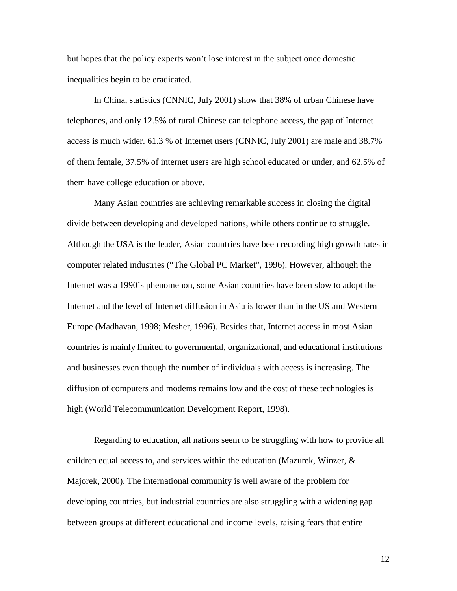but hopes that the policy experts won't lose interest in the subject once domestic inequalities begin to be eradicated.

In China, statistics (CNNIC, July 2001) show that 38% of urban Chinese have telephones, and only 12.5% of rural Chinese can telephone access, the gap of Internet access is much wider. 61.3 % of Internet users (CNNIC, July 2001) are male and 38.7% of them female, 37.5% of internet users are high school educated or under, and 62.5% of them have college education or above.

Many Asian countries are achieving remarkable success in closing the digital divide between developing and developed nations, while others continue to struggle. Although the USA is the leader, Asian countries have been recording high growth rates in computer related industries ("The Global PC Market", 1996). However, although the Internet was a 1990's phenomenon, some Asian countries have been slow to adopt the Internet and the level of Internet diffusion in Asia is lower than in the US and Western Europe (Madhavan, 1998; Mesher, 1996). Besides that, Internet access in most Asian countries is mainly limited to governmental, organizational, and educational institutions and businesses even though the number of individuals with access is increasing. The diffusion of computers and modems remains low and the cost of these technologies is high (World Telecommunication Development Report, 1998).

Regarding to education, all nations seem to be struggling with how to provide all children equal access to, and services within the education (Mazurek, Winzer,  $\&$ Majorek, 2000). The international community is well aware of the problem for developing countries, but industrial countries are also struggling with a widening gap between groups at different educational and income levels, raising fears that entire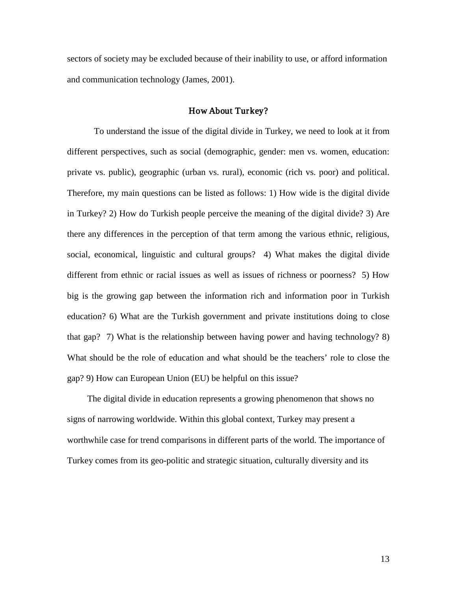sectors of society may be excluded because of their inability to use, or afford information and communication technology (James, 2001).

## How About Turkey?

To understand the issue of the digital divide in Turkey, we need to look at it from different perspectives, such as social (demographic, gender: men vs. women, education: private vs. public), geographic (urban vs. rural), economic (rich vs. poor) and political. Therefore, my main questions can be listed as follows: 1) How wide is the digital divide in Turkey? 2) How do Turkish people perceive the meaning of the digital divide? 3) Are there any differences in the perception of that term among the various ethnic, religious, social, economical, linguistic and cultural groups? 4) What makes the digital divide different from ethnic or racial issues as well as issues of richness or poorness? 5) How big is the growing gap between the information rich and information poor in Turkish education? 6) What are the Turkish government and private institutions doing to close that gap? 7) What is the relationship between having power and having technology? 8) What should be the role of education and what should be the teachers' role to close the gap? 9) How can European Union (EU) be helpful on this issue?

The digital divide in education represents a growing phenomenon that shows no signs of narrowing worldwide. Within this global context, Turkey may present a worthwhile case for trend comparisons in different parts of the world. The importance of Turkey comes from its geo-politic and strategic situation, culturally diversity and its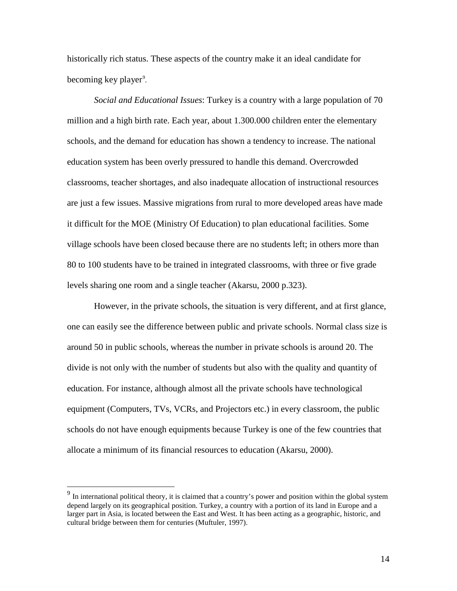historically rich status. These aspects of the country make it an ideal candidate for becoming key player<sup>[9](#page-13-0)</sup>.

*Social and Educational Issues*: Turkey is a country with a large population of 70 million and a high birth rate. Each year, about 1.300.000 children enter the elementary schools, and the demand for education has shown a tendency to increase. The national education system has been overly pressured to handle this demand. Overcrowded classrooms, teacher shortages, and also inadequate allocation of instructional resources are just a few issues. Massive migrations from rural to more developed areas have made it difficult for the MOE (Ministry Of Education) to plan educational facilities. Some village schools have been closed because there are no students left; in others more than 80 to 100 students have to be trained in integrated classrooms, with three or five grade levels sharing one room and a single teacher (Akarsu, 2000 p.323).

However, in the private schools, the situation is very different, and at first glance, one can easily see the difference between public and private schools. Normal class size is around 50 in public schools, whereas the number in private schools is around 20. The divide is not only with the number of students but also with the quality and quantity of education. For instance, although almost all the private schools have technological equipment (Computers, TVs, VCRs, and Projectors etc.) in every classroom, the public schools do not have enough equipments because Turkey is one of the few countries that allocate a minimum of its financial resources to education (Akarsu, 2000).

<span id="page-13-0"></span>In international political theory, it is claimed that a country's power and position within the global system depend largely on its geographical position. Turkey, a country with a portion of its land in Europe and a larger part in Asia, is located between the East and West. It has been acting as a geographic, historic, and cultural bridge between them for centuries (Muftuler, 1997).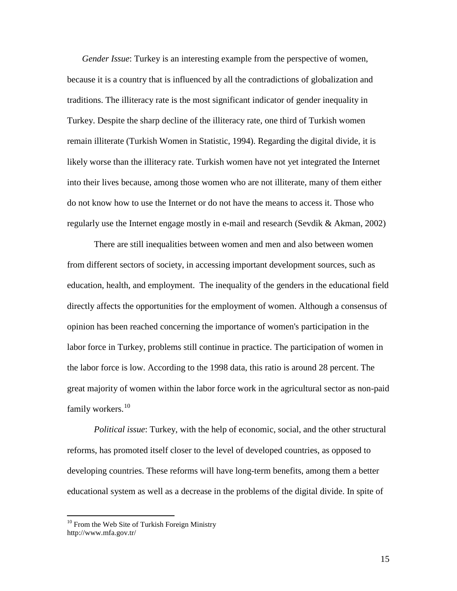*Gender Issue*: Turkey is an interesting example from the perspective of women, because it is a country that is influenced by all the contradictions of globalization and traditions. The illiteracy rate is the most significant indicator of gender inequality in Turkey. Despite the sharp decline of the illiteracy rate, one third of Turkish women remain illiterate (Turkish Women in Statistic, 1994). Regarding the digital divide, it is likely worse than the illiteracy rate. Turkish women have not yet integrated the Internet into their lives because, among those women who are not illiterate, many of them either do not know how to use the Internet or do not have the means to access it. Those who regularly use the Internet engage mostly in e-mail and research (Sevdik & Akman, 2002)

There are still inequalities between women and men and also between women from different sectors of society, in accessing important development sources, such as education, health, and employment. The inequality of the genders in the educational field directly affects the opportunities for the employment of women. Although a consensus of opinion has been reached concerning the importance of women's participation in the labor force in Turkey, problems still continue in practice. The participation of women in the labor force is low. According to the 1998 data, this ratio is around 28 percent. The great majority of women within the labor force work in the agricultural sector as non-paid family workers. $^{10}$  $^{10}$  $^{10}$ 

*Political issue*: Turkey, with the help of economic, social, and the other structural reforms, has promoted itself closer to the level of developed countries, as opposed to developing countries. These reforms will have long-term benefits, among them a better educational system as well as a decrease in the problems of the digital divide. In spite of

<span id="page-14-0"></span> $10$  From the Web Site of Turkish Foreign Ministry http://www.mfa.gov.tr/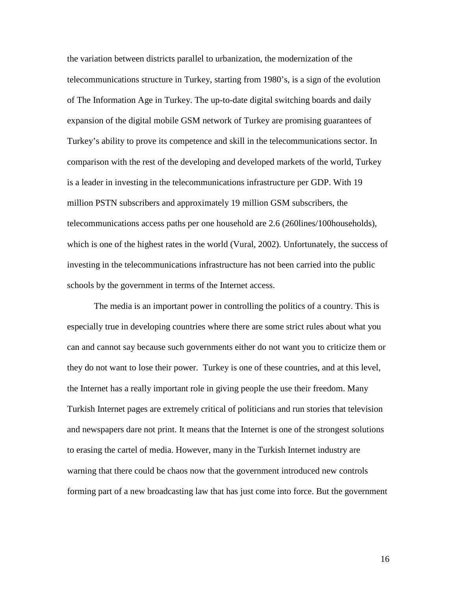the variation between districts parallel to urbanization, the modernization of the telecommunications structure in Turkey, starting from 1980's, is a sign of the evolution of The Information Age in Turkey. The up-to-date digital switching boards and daily expansion of the digital mobile GSM network of Turkey are promising guarantees of Turkey's ability to prove its competence and skill in the telecommunications sector. In comparison with the rest of the developing and developed markets of the world, Turkey is a leader in investing in the telecommunications infrastructure per GDP. With 19 million PSTN subscribers and approximately 19 million GSM subscribers, the telecommunications access paths per one household are 2.6 (260lines/100households), which is one of the highest rates in the world (Vural, 2002). Unfortunately, the success of investing in the telecommunications infrastructure has not been carried into the public schools by the government in terms of the Internet access.

The media is an important power in controlling the politics of a country. This is especially true in developing countries where there are some strict rules about what you can and cannot say because such governments either do not want you to criticize them or they do not want to lose their power. Turkey is one of these countries, and at this level, the Internet has a really important role in giving people the use their freedom. Many Turkish Internet pages are extremely critical of politicians and run stories that television and newspapers dare not print. It means that the Internet is one of the strongest solutions to erasing the cartel of media. However, many in the Turkish Internet industry are warning that there could be chaos now that the government introduced new controls forming part of a new broadcasting law that has just come into force. But the government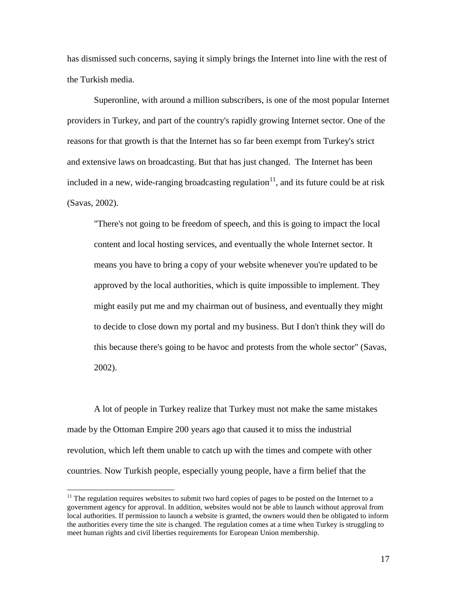has dismissed such concerns, saying it simply brings the Internet into line with the rest of the Turkish media.

Superonline, with around a million subscribers, is one of the most popular Internet providers in Turkey, and part of the country's rapidly growing Internet sector. One of the reasons for that growth is that the Internet has so far been exempt from Turkey's strict and extensive laws on broadcasting. But that has just changed. The Internet has been included in a new, wide-ranging broadcasting regulation<sup>[11](#page-16-0)</sup>, and its future could be at risk (Savas, 2002).

"There's not going to be freedom of speech, and this is going to impact the local content and local hosting services, and eventually the whole Internet sector. It means you have to bring a copy of your website whenever you're updated to be approved by the local authorities, which is quite impossible to implement. They might easily put me and my chairman out of business, and eventually they might to decide to close down my portal and my business. But I don't think they will do this because there's going to be havoc and protests from the whole sector" (Savas, 2002).

 A lot of people in Turkey realize that Turkey must not make the same mistakes made by the Ottoman Empire 200 years ago that caused it to miss the industrial revolution, which left them unable to catch up with the times and compete with other countries. Now Turkish people, especially young people, have a firm belief that the

<span id="page-16-0"></span> $11$  The regulation requires websites to submit two hard copies of pages to be posted on the Internet to a government agency for approval. In addition, websites would not be able to launch without approval from local authorities. If permission to launch a website is granted, the owners would then be obligated to inform the authorities every time the site is changed. The regulation comes at a time when Turkey is struggling to meet human rights and civil liberties requirements for European Union membership.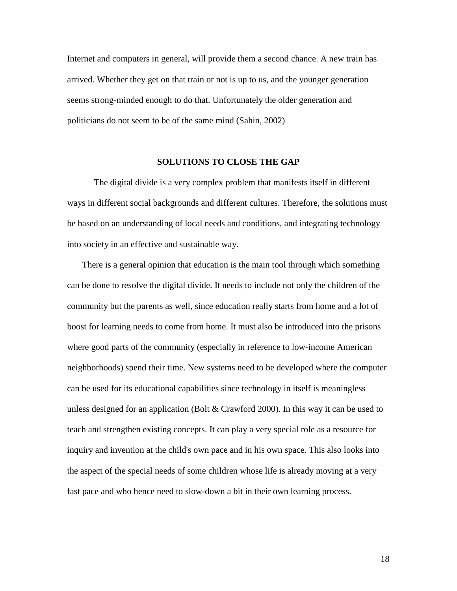Internet and computers in general, will provide them a second chance. A new train has arrived. Whether they get on that train or not is up to us, and the younger generation seems strong-minded enough to do that. Unfortunately the older generation and politicians do not seem to be of the same mind (Sahin, 2002)

#### **SOLUTIONS TO CLOSE THE GAP**

The digital divide is a very complex problem that manifests itself in different ways in different social backgrounds and different cultures. Therefore, the solutions must be based on an understanding of local needs and conditions, and integrating technology into society in an effective and sustainable way.

There is a general opinion that education is the main tool through which something can be done to resolve the digital divide. It needs to include not only the children of the community but the parents as well, since education really starts from home and a lot of boost for learning needs to come from home. It must also be introduced into the prisons where good parts of the community (especially in reference to low-income American neighborhoods) spend their time. New systems need to be developed where the computer can be used for its educational capabilities since technology in itself is meaningless unless designed for an application (Bolt  $&$  Crawford 2000). In this way it can be used to teach and strengthen existing concepts. It can play a very special role as a resource for inquiry and invention at the child's own pace and in his own space. This also looks into the aspect of the special needs of some children whose life is already moving at a very fast pace and who hence need to slow-down a bit in their own learning process.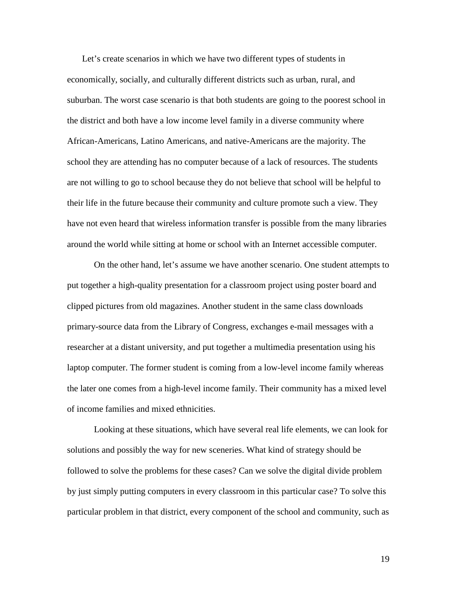Let's create scenarios in which we have two different types of students in economically, socially, and culturally different districts such as urban, rural, and suburban. The worst case scenario is that both students are going to the poorest school in the district and both have a low income level family in a diverse community where African-Americans, Latino Americans, and native-Americans are the majority. The school they are attending has no computer because of a lack of resources. The students are not willing to go to school because they do not believe that school will be helpful to their life in the future because their community and culture promote such a view. They have not even heard that wireless information transfer is possible from the many libraries around the world while sitting at home or school with an Internet accessible computer.

On the other hand, let's assume we have another scenario. One student attempts to put together a high-quality presentation for a classroom project using poster board and clipped pictures from old magazines. Another student in the same class downloads primary-source data from the Library of Congress, exchanges e-mail messages with a researcher at a distant university, and put together a multimedia presentation using his laptop computer. The former student is coming from a low-level income family whereas the later one comes from a high-level income family. Their community has a mixed level of income families and mixed ethnicities.

Looking at these situations, which have several real life elements, we can look for solutions and possibly the way for new sceneries. What kind of strategy should be followed to solve the problems for these cases? Can we solve the digital divide problem by just simply putting computers in every classroom in this particular case? To solve this particular problem in that district, every component of the school and community, such as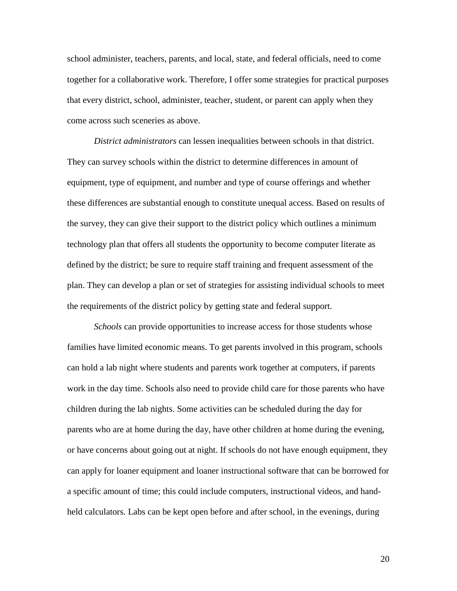school administer, teachers, parents, and local, state, and federal officials, need to come together for a collaborative work. Therefore, I offer some strategies for practical purposes that every district, school, administer, teacher, student, or parent can apply when they come across such sceneries as above.

*District administrators* can lessen inequalities between schools in that district. They can survey schools within the district to determine differences in amount of equipment, type of equipment, and number and type of course offerings and whether these differences are substantial enough to constitute unequal access. Based on results of the survey, they can give their support to the district policy which outlines a minimum technology plan that offers all students the opportunity to become computer literate as defined by the district; be sure to require staff training and frequent assessment of the plan. They can develop a plan or set of strategies for assisting individual schools to meet the requirements of the district policy by getting state and federal support.

*Schools* can provide opportunities to increase access for those students whose families have limited economic means. To get parents involved in this program, schools can hold a lab night where students and parents work together at computers, if parents work in the day time. Schools also need to provide child care for those parents who have children during the lab nights. Some activities can be scheduled during the day for parents who are at home during the day, have other children at home during the evening, or have concerns about going out at night. If schools do not have enough equipment, they can apply for loaner equipment and loaner instructional software that can be borrowed for a specific amount of time; this could include computers, instructional videos, and handheld calculators. Labs can be kept open before and after school, in the evenings, during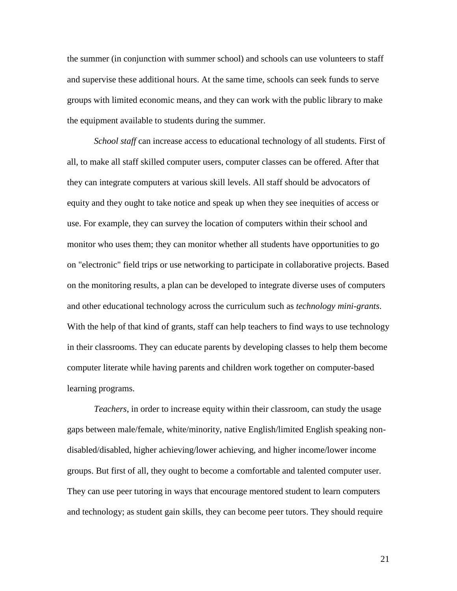the summer (in conjunction with summer school) and schools can use volunteers to staff and supervise these additional hours. At the same time, schools can seek funds to serve groups with limited economic means, and they can work with the public library to make the equipment available to students during the summer.

*School staff* can increase access to educational technology of all students. First of all, to make all staff skilled computer users, computer classes can be offered. After that they can integrate computers at various skill levels. All staff should be advocators of equity and they ought to take notice and speak up when they see inequities of access or use. For example, they can survey the location of computers within their school and monitor who uses them; they can monitor whether all students have opportunities to go on "electronic" field trips or use networking to participate in collaborative projects. Based on the monitoring results, a plan can be developed to integrate diverse uses of computers and other educational technology across the curriculum such as *technology mini-grants*. With the help of that kind of grants, staff can help teachers to find ways to use technology in their classrooms. They can educate parents by developing classes to help them become computer literate while having parents and children work together on computer-based learning programs.

*Teachers*, in order to increase equity within their classroom, can study the usage gaps between male/female, white/minority, native English/limited English speaking nondisabled/disabled, higher achieving/lower achieving, and higher income/lower income groups. But first of all, they ought to become a comfortable and talented computer user. They can use peer tutoring in ways that encourage mentored student to learn computers and technology; as student gain skills, they can become peer tutors. They should require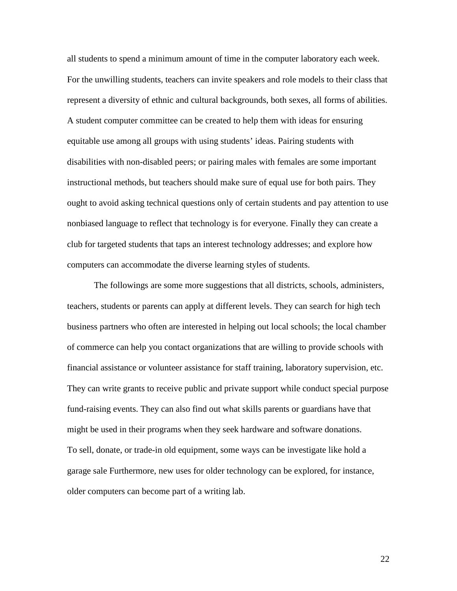all students to spend a minimum amount of time in the computer laboratory each week. For the unwilling students, teachers can invite speakers and role models to their class that represent a diversity of ethnic and cultural backgrounds, both sexes, all forms of abilities. A student computer committee can be created to help them with ideas for ensuring equitable use among all groups with using students' ideas. Pairing students with disabilities with non-disabled peers; or pairing males with females are some important instructional methods, but teachers should make sure of equal use for both pairs. They ought to avoid asking technical questions only of certain students and pay attention to use nonbiased language to reflect that technology is for everyone. Finally they can create a club for targeted students that taps an interest technology addresses; and explore how computers can accommodate the diverse learning styles of students.

The followings are some more suggestions that all districts, schools, administers, teachers, students or parents can apply at different levels. They can search for high tech business partners who often are interested in helping out local schools; the local chamber of commerce can help you contact organizations that are willing to provide schools with financial assistance or volunteer assistance for staff training, laboratory supervision, etc. They can write grants to receive public and private support while conduct special purpose fund-raising events. They can also find out what skills parents or guardians have that might be used in their programs when they seek hardware and software donations. To sell, donate, or trade-in old equipment, some ways can be investigate like hold a garage sale Furthermore, new uses for older technology can be explored, for instance, older computers can become part of a writing lab.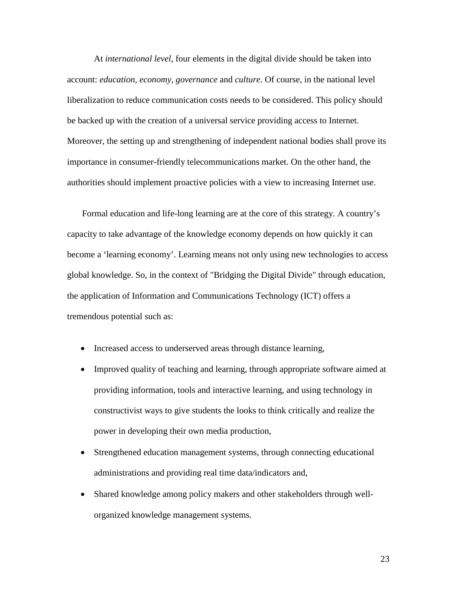At *international level*, four elements in the digital divide should be taken into account: *education, economy*, *governance* and *culture*. Of course, in the national level liberalization to reduce communication costs needs to be considered. This policy should be backed up with the creation of a universal service providing access to Internet. Moreover, the setting up and strengthening of independent national bodies shall prove its importance in consumer-friendly telecommunications market. On the other hand, the authorities should implement proactive policies with a view to increasing Internet use.

Formal education and life-long learning are at the core of this strategy. A country's capacity to take advantage of the knowledge economy depends on how quickly it can become a 'learning economy'. Learning means not only using new technologies to access global knowledge. So, in the context of "Bridging the Digital Divide" through education, the application of Information and Communications Technology (ICT) offers a tremendous potential such as:

- Increased access to underserved areas through distance learning,
- Improved quality of teaching and learning, through appropriate software aimed at providing information, tools and interactive learning, and using technology in constructivist ways to give students the looks to think critically and realize the power in developing their own media production,
- Strengthened education management systems, through connecting educational administrations and providing real time data/indicators and,
- Shared knowledge among policy makers and other stakeholders through wellorganized knowledge management systems.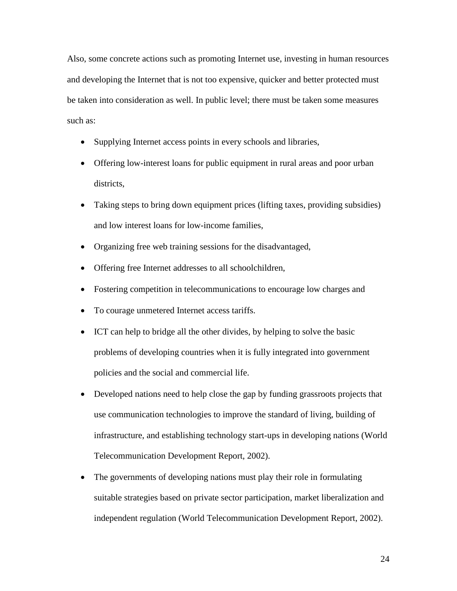Also, some concrete actions such as promoting Internet use, investing in human resources and developing the Internet that is not too expensive, quicker and better protected must be taken into consideration as well. In public level; there must be taken some measures such as:

- Supplying Internet access points in every schools and libraries,
- Offering low-interest loans for public equipment in rural areas and poor urban districts,
- Taking steps to bring down equipment prices (lifting taxes, providing subsidies) and low interest loans for low-income families,
- Organizing free web training sessions for the disadvantaged,
- Offering free Internet addresses to all schoolchildren,
- Fostering competition in telecommunications to encourage low charges and
- To courage unmetered Internet access tariffs.
- ICT can help to bridge all the other divides, by helping to solve the basic problems of developing countries when it is fully integrated into government policies and the social and commercial life.
- Developed nations need to help close the gap by funding grassroots projects that use communication technologies to improve the standard of living, building of infrastructure, and establishing technology start-ups in developing nations (World Telecommunication Development Report, 2002).
- The governments of developing nations must play their role in formulating suitable strategies based on private sector participation, market liberalization and independent regulation (World Telecommunication Development Report, 2002).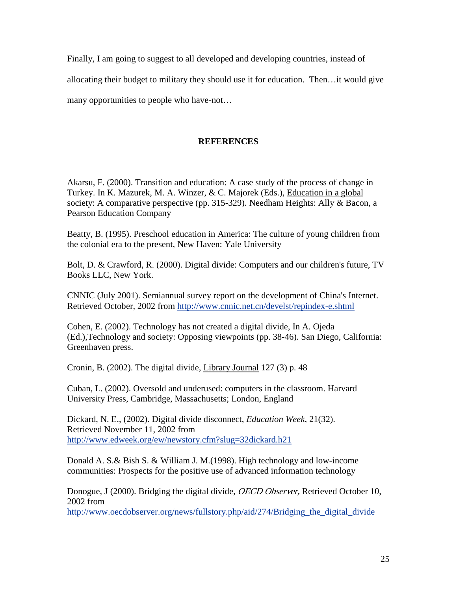Finally, I am going to suggest to all developed and developing countries, instead of

allocating their budget to military they should use it for education. Then…it would give

many opportunities to people who have-not…

# **REFERENCES**

Akarsu, F. (2000). Transition and education: A case study of the process of change in Turkey. In K. Mazurek, M. A. Winzer, & C. Majorek (Eds.), Education in a global society: A comparative perspective (pp. 315-329). Needham Heights: Ally & Bacon, a Pearson Education Company

Beatty, B. (1995). Preschool education in America: The culture of young children from the colonial era to the present, New Haven: Yale University

Bolt, D. & Crawford, R. (2000). Digital divide: Computers and our children's future, TV Books LLC, New York.

CNNIC (July 2001). Semiannual survey report on the development of China's Internet. Retrieved October, 2002 from<http://www.cnnic.net.cn/develst/repindex-e.shtml>

Cohen, E. (2002). Technology has not created a digital divide, In A. Ojeda (Ed.),Technology and society: Opposing viewpoints (pp. 38-46). San Diego, California: Greenhaven press.

Cronin, B. (2002). The digital divide, Library Journal 127 (3) p. 48

Cuban, L. (2002). Oversold and underused: computers in the classroom. Harvard University Press, Cambridge, Massachusetts; London, England

Dickard, N. E., (2002). Digital divide disconnect, *Education Week*, 21(32). Retrieved November 11, 2002 from <http://www.edweek.org/ew/newstory.cfm?slug=32dickard.h21>

Donald A. S.& Bish S. & William J. M.(1998). High technology and low-income communities: Prospects for the positive use of advanced information technology

Donogue, J (2000). Bridging the digital divide, *OECD Observer*, Retrieved October 10, 2002 from

http://www.oecdobserver.org/news/fullstory.php/aid/274/Bridging the digital divide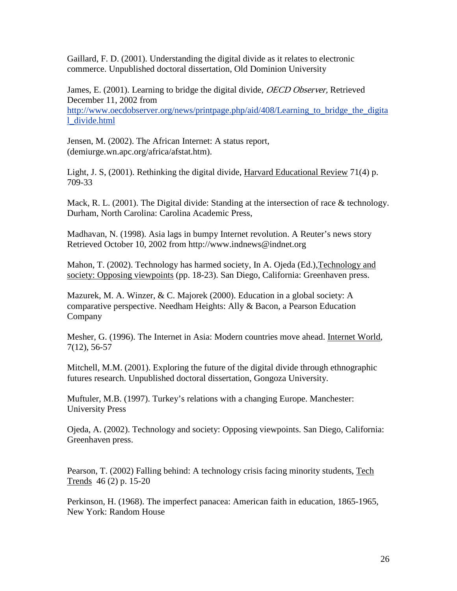Gaillard, F. D. (2001). Understanding the digital divide as it relates to electronic commerce. Unpublished doctoral dissertation, Old Dominion University

James, E. (2001). Learning to bridge the digital divide, *OECD Observer*, Retrieved December 11, 2002 from http://www.oecdobserver.org/news/printpage.php/aid/408/Learning to bridge the digita [l\\_divide.html](http://www.oecdobserver.org/news/printpage.php/aid/408/Learning_to_bridge_the_digital_divide.html)

Jensen, M. (2002). The African Internet: A status report, (demiurge.wn.apc.org/africa/afstat.htm).

Light, J. S, (2001). Rethinking the digital divide, Harvard Educational Review 71(4) p. 709-33

Mack, R. L. (2001). The Digital divide: Standing at the intersection of race & technology. Durham, North Carolina: Carolina Academic Press,

Madhavan, N. (1998). Asia lags in bumpy Internet revolution. A Reuter's news story Retrieved October 10, 2002 from http://www.indnews@indnet.org

Mahon, T. (2002). Technology has harmed society, In A. Ojeda (Ed.),Technology and society: Opposing viewpoints (pp. 18-23). San Diego, California: Greenhaven press.

Mazurek, M. A. Winzer, & C. Majorek (2000). Education in a global society: A comparative perspective. Needham Heights: Ally & Bacon, a Pearson Education Company

Mesher, G. (1996). The Internet in Asia: Modern countries move ahead. Internet World, 7(12), 56-57

Mitchell, M.M. (2001). Exploring the future of the digital divide through ethnographic futures research. Unpublished doctoral dissertation, Gongoza University.

Muftuler, M.B. (1997). Turkey's relations with a changing Europe. Manchester: University Press

Ojeda, A. (2002). Technology and society: Opposing viewpoints. San Diego, California: Greenhaven press.

Pearson, T. (2002) Falling behind: A technology crisis facing minority students, Tech Trends 46 (2) p. 15-20

Perkinson, H. (1968). The imperfect panacea: American faith in education, 1865-1965, New York: Random House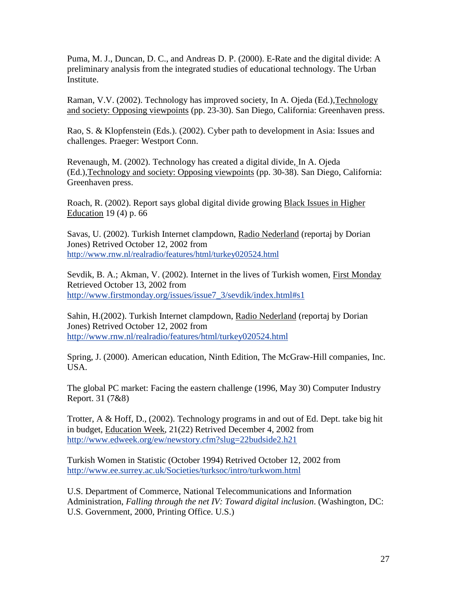Puma, M. J., Duncan, D. C., and Andreas D. P. (2000). E-Rate and the digital divide: A preliminary analysis from the integrated studies of educational technology. The Urban Institute.

Raman, V.V. (2002). Technology has improved society, In A. Ojeda (Ed.),Technology and society: Opposing viewpoints (pp. 23-30). San Diego, California: Greenhaven press.

Rao, S. & Klopfenstein (Eds.). (2002). Cyber path to development in Asia: Issues and challenges. Praeger: Westport Conn.

Revenaugh, M. (2002). Technology has created a digital divide, In A. Ojeda (Ed.),Technology and society: Opposing viewpoints (pp. 30-38). San Diego, California: Greenhaven press.

Roach, R. (2002). Report says global digital divide growing Black Issues in Higher Education 19 (4) p. 66

Savas, U. (2002). Turkish Internet clampdown, Radio Nederland (reportaj by Dorian Jones) Retrived October 12, 2002 from <http://www.rnw.nl/realradio/features/html/turkey020524.html>

Sevdik, B. A.; Akman, V. (2002). Internet in the lives of Turkish women, First Monday Retrieved October 13, 2002 from [http://www.firstmonday.org/issues/issue7\\_3/sevdik/index.html#s1](http://www.firstmonday.org/issues/issue7_3/sevdik/index.html#s1)

Sahin, H.(2002). Turkish Internet clampdown, Radio Nederland (reportaj by Dorian Jones) Retrived October 12, 2002 from <http://www.rnw.nl/realradio/features/html/turkey020524.html>

Spring, J. (2000). American education, Ninth Edition, The McGraw-Hill companies, Inc. USA.

The global PC market: Facing the eastern challenge (1996, May 30) Computer Industry Report. 31 (7&8)

Trotter, A & Hoff, D., (2002). Technology programs in and out of Ed. Dept. take big hit in budget, Education Week, 21(22) Retrived December 4, 2002 from <http://www.edweek.org/ew/newstory.cfm?slug=22budside2.h21>

Turkish Women in Statistic (October 1994) Retrived October 12, 2002 from <http://www.ee.surrey.ac.uk/Societies/turksoc/intro/turkwom.html>

U.S. Department of Commerce, National Telecommunications and Information Administration, *Falling through the net IV: Toward digital inclusion*. (Washington, DC: U.S. Government, 2000, Printing Office. U.S.)